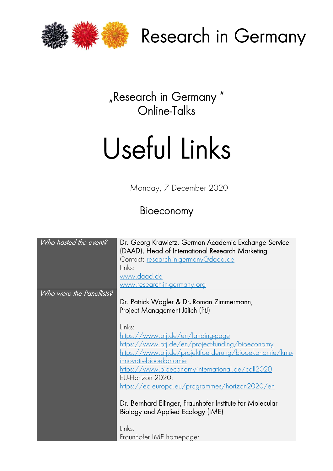

Research in Germany

"Research in Germany " Online-Talks

# Useful Links

Monday, 7 December 2020

### Bioeconomy

| Who hosted the event?    | Dr. Georg Krawietz, German Academic Exchange Service<br>(DAAD), Head of International Research Marketing<br>Contact: research-in-germany@daad.de<br>Links:<br>www.daad.de<br><u>www.research-in-germany.org</u> |
|--------------------------|-----------------------------------------------------------------------------------------------------------------------------------------------------------------------------------------------------------------|
| Who were the Panellists? |                                                                                                                                                                                                                 |
|                          | Dr. Patrick Wagler & Dr. Roman Zimmermann,                                                                                                                                                                      |
|                          | Project Management Jülich (PtJ)                                                                                                                                                                                 |
|                          |                                                                                                                                                                                                                 |
|                          |                                                                                                                                                                                                                 |
|                          | Links:                                                                                                                                                                                                          |
|                          | <u>https://www.ptj.de/en/landing-page</u>                                                                                                                                                                       |
|                          | <u>https://www.ptj.de/en/project-funding/bioeconomy</u>                                                                                                                                                         |
|                          | <u>https://www.ptj.de/projektfoerderung/biooekonomie/kmu-</u>                                                                                                                                                   |
|                          | innovativ-biooekonomie                                                                                                                                                                                          |
|                          | https://www.bioeconomy-international.de/call2020                                                                                                                                                                |
|                          | EU-Horizon 2020:                                                                                                                                                                                                |
|                          | https://ec.europa.eu/programmes/horizon2020/en                                                                                                                                                                  |
|                          |                                                                                                                                                                                                                 |
|                          |                                                                                                                                                                                                                 |
|                          | Dr. Bernhard Ellinger, Fraunhofer Institute for Molecular                                                                                                                                                       |
|                          | Biology and Applied Ecology (IME)                                                                                                                                                                               |
|                          | Links:                                                                                                                                                                                                          |
|                          | Fraunhofer IME homepage:                                                                                                                                                                                        |
|                          |                                                                                                                                                                                                                 |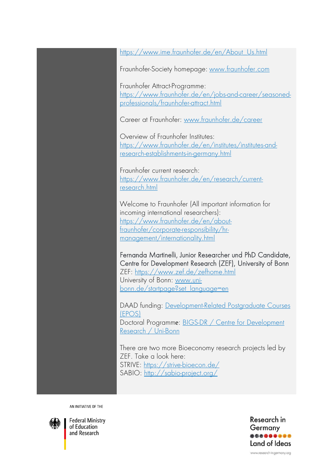[https://www.ime.fraunhofer.de/en/About\\_Us.html](https://www.ime.fraunhofer.de/en/About_Us.html)

Fraunhofer-Society homepage: [www.fraunhofer.com](http://www.fraunhofer.com/)

Fraunhofer Attract-Programme: [https://www.fraunhofer.de/en/jobs-and-career/seasoned](https://eur03.safelinks.protection.outlook.com/?url=https%3A%2F%2Fwww.fraunhofer.de%2Fen%2Fjobs-and-career%2Fseasoned-professionals%2Ffraunhofer-attract.html&data=02%7C01%7C%7C717fb3e5caeb4a5c3bcb08d80c82755d%7C30abdb70b28448308df7daa5b0052ed2%7C0%7C0%7C637273101775475883&sdata=DMfqAaRPovac7oCGlNhTcmV%2FAlAXv2D%2Buw9uu1t9L30%3D&reserved=0)[professionals/fraunhofer-attract.html](https://eur03.safelinks.protection.outlook.com/?url=https%3A%2F%2Fwww.fraunhofer.de%2Fen%2Fjobs-and-career%2Fseasoned-professionals%2Ffraunhofer-attract.html&data=02%7C01%7C%7C717fb3e5caeb4a5c3bcb08d80c82755d%7C30abdb70b28448308df7daa5b0052ed2%7C0%7C0%7C637273101775475883&sdata=DMfqAaRPovac7oCGlNhTcmV%2FAlAXv2D%2Buw9uu1t9L30%3D&reserved=0)

Career at Fraunhofer: [www.fraunhofer.de/career](https://eur03.safelinks.protection.outlook.com/?url=http%3A%2F%2Fwww.fraunhofer.de%2Fcareer&data=02%7C01%7C%7C717fb3e5caeb4a5c3bcb08d80c82755d%7C30abdb70b28448308df7daa5b0052ed2%7C0%7C0%7C637273101775460912&sdata=WRBB%2BjRpXGscYa8nevmH4%2FZ2K9KvUVKdWLIupXpZYbM%3D&reserved=0)

Overview of Fraunhofer Institutes: [https://www.fraunhofer.de/en/institutes/institutes-and](https://eur03.safelinks.protection.outlook.com/?url=https%3A%2F%2Fwww.fraunhofer.de%2Fen%2Finstitutes%2Finstitutes-and-research-establishments-in-germany.html&data=02%7C01%7C%7C717fb3e5caeb4a5c3bcb08d80c82755d%7C30abdb70b28448308df7daa5b0052ed2%7C0%7C0%7C637273101775465902&sdata=qbpQO1rfqc5z6d%2BrjMFheHBRNGIucEwbfLl6YUtEZ60%3D&reserved=0)[research-establishments-in-germany.html](https://eur03.safelinks.protection.outlook.com/?url=https%3A%2F%2Fwww.fraunhofer.de%2Fen%2Finstitutes%2Finstitutes-and-research-establishments-in-germany.html&data=02%7C01%7C%7C717fb3e5caeb4a5c3bcb08d80c82755d%7C30abdb70b28448308df7daa5b0052ed2%7C0%7C0%7C637273101775465902&sdata=qbpQO1rfqc5z6d%2BrjMFheHBRNGIucEwbfLl6YUtEZ60%3D&reserved=0)

Fraunhofer current research: [https://www.fraunhofer.de/en/research/current](https://eur03.safelinks.protection.outlook.com/?url=https%3A%2F%2Fwww.fraunhofer.de%2Fen%2Fresearch%2Fcurrent-research.html&data=02%7C01%7C%7C717fb3e5caeb4a5c3bcb08d80c82755d%7C30abdb70b28448308df7daa5b0052ed2%7C0%7C0%7C637273101775470896&sdata=z6arjZe2hONFIxM8r%2B03S%2BJVPzhZ6%2FC8%2FNkZGIEY55U%3D&reserved=0)[research.html](https://eur03.safelinks.protection.outlook.com/?url=https%3A%2F%2Fwww.fraunhofer.de%2Fen%2Fresearch%2Fcurrent-research.html&data=02%7C01%7C%7C717fb3e5caeb4a5c3bcb08d80c82755d%7C30abdb70b28448308df7daa5b0052ed2%7C0%7C0%7C637273101775470896&sdata=z6arjZe2hONFIxM8r%2B03S%2BJVPzhZ6%2FC8%2FNkZGIEY55U%3D&reserved=0)

Welcome to Fraunhofer (All important information for incoming international researchers): [https://www.fraunhofer.de/en/about](https://eur03.safelinks.protection.outlook.com/?url=https%3A%2F%2Fwww.fraunhofer.de%2Fen%2Fabout-fraunhofer%2Fcorporate-responsibility%2Fhr-management%2Finternationality.html&data=02%7C01%7C%7C717fb3e5caeb4a5c3bcb08d80c82755d%7C30abdb70b28448308df7daa5b0052ed2%7C0%7C0%7C637273101775480874&sdata=hJDMql2uYubx259I%2FiN0yrPTIC%2FK7%2BgcOn7rJxen4ow%3D&reserved=0)[fraunhofer/corporate-responsibility/hr](https://eur03.safelinks.protection.outlook.com/?url=https%3A%2F%2Fwww.fraunhofer.de%2Fen%2Fabout-fraunhofer%2Fcorporate-responsibility%2Fhr-management%2Finternationality.html&data=02%7C01%7C%7C717fb3e5caeb4a5c3bcb08d80c82755d%7C30abdb70b28448308df7daa5b0052ed2%7C0%7C0%7C637273101775480874&sdata=hJDMql2uYubx259I%2FiN0yrPTIC%2FK7%2BgcOn7rJxen4ow%3D&reserved=0)[management/internationality.html](https://eur03.safelinks.protection.outlook.com/?url=https%3A%2F%2Fwww.fraunhofer.de%2Fen%2Fabout-fraunhofer%2Fcorporate-responsibility%2Fhr-management%2Finternationality.html&data=02%7C01%7C%7C717fb3e5caeb4a5c3bcb08d80c82755d%7C30abdb70b28448308df7daa5b0052ed2%7C0%7C0%7C637273101775480874&sdata=hJDMql2uYubx259I%2FiN0yrPTIC%2FK7%2BgcOn7rJxen4ow%3D&reserved=0)

Fernanda Martinelli, Junior Researcher und PhD Candidate, [Centre for Development Research \(ZEF\), University of Bonn](http://www.zef.de/zefhome.html)  ZEF:<https://www.zef.de/zefhome.html> University of Bonn: [www.uni](http://www.uni-bonn.de/startpage?set_language=en)[bonn.de/startpage?set\\_language=en](http://www.uni-bonn.de/startpage?set_language=en)

DAAD funding: [Development-Related Postgraduate Courses](https://eur03.safelinks.protection.outlook.com/?url=http%3A%2F%2Fdaad.de%2Fgo%2Fen%2Fstipa50076777&data=04%7C01%7C%7C160fc85569a14482deee08d8952c8edc%7C30abdb70b28448308df7daa5b0052ed2%7C0%7C0%7C637423365914886623%7CUnknown%7CTWFpbGZsb3d8eyJWIjoiMC4wLjAwMDAiLCJQIjoiV2luMzIiLCJBTiI6Ik1haWwiLCJXVCI6Mn0%3D%7C1000&sdata=XJBflxglHA02gS77rdQlmXjSas4ODU%2BC3gn00I7Ye2M%3D&reserved=0)  [\(EPOS\)](https://eur03.safelinks.protection.outlook.com/?url=http%3A%2F%2Fdaad.de%2Fgo%2Fen%2Fstipa50076777&data=04%7C01%7C%7C160fc85569a14482deee08d8952c8edc%7C30abdb70b28448308df7daa5b0052ed2%7C0%7C0%7C637423365914886623%7CUnknown%7CTWFpbGZsb3d8eyJWIjoiMC4wLjAwMDAiLCJQIjoiV2luMzIiLCJBTiI6Ik1haWwiLCJXVCI6Mn0%3D%7C1000&sdata=XJBflxglHA02gS77rdQlmXjSas4ODU%2BC3gn00I7Ye2M%3D&reserved=0) Doctoral Programme: [BIGS-DR / Centre for Development](https://eur03.safelinks.protection.outlook.com/?url=https%3A%2F%2Fwww.zef.de%2Fdoctoral-program.html&data=04%7C01%7C%7C160fc85569a14482deee08d8952c8edc%7C30abdb70b28448308df7daa5b0052ed2%7C0%7C0%7C637423365914886623%7CUnknown%7CTWFpbGZsb3d8eyJWIjoiMC4wLjAwMDAiLCJQIjoiV2luMzIiLCJBTiI6Ik1haWwiLCJXVCI6Mn0%3D%7C1000&sdata=SrImFPvhjZ2pjZ%2FSjXAHylQ5UdXd%2B7AE%2BOxRIlrAZDA%3D&reserved=0)  [Research / Uni-Bonn](https://eur03.safelinks.protection.outlook.com/?url=https%3A%2F%2Fwww.zef.de%2Fdoctoral-program.html&data=04%7C01%7C%7C160fc85569a14482deee08d8952c8edc%7C30abdb70b28448308df7daa5b0052ed2%7C0%7C0%7C637423365914886623%7CUnknown%7CTWFpbGZsb3d8eyJWIjoiMC4wLjAwMDAiLCJQIjoiV2luMzIiLCJBTiI6Ik1haWwiLCJXVCI6Mn0%3D%7C1000&sdata=SrImFPvhjZ2pjZ%2FSjXAHylQ5UdXd%2B7AE%2BOxRIlrAZDA%3D&reserved=0)

There are two more Bioeconomy research projects led by ZEF. Take a look here: STRIVE: <https://strive-bioecon.de/> SABIO: [http://sabio-project.org/](https://eur03.safelinks.protection.outlook.com/?url=http%3A%2F%2Fsabio-project.org%2F&data=04%7C01%7C%7C953cb97065e14e6c099908d89aa239ca%7C30abdb70b28448308df7daa5b0052ed2%7C0%7C0%7C637429368841181161%7CUnknown%7CTWFpbGZsb3d8eyJWIjoiMC4wLjAwMDAiLCJQIjoiV2luMzIiLCJBTiI6Ik1haWwiLCJXVCI6Mn0%3D%7C1000&sdata=8NhW%2BYkX8pKaavcxOjVBUw9%2BFytoz4hxahoXxh4e%2F44%3D&reserved=0)

AN INITIATIVE OF THE



**Federal Ministry** of Education and Research

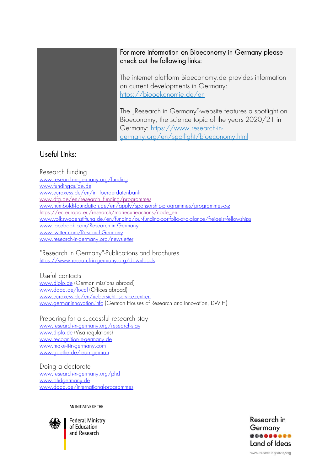## For more information on Bioeconomy in Germany please check out the following links:

The internet plattform Bioeconomy.de provides information on current developments in Germany: <https://biooekonomie.de/en>

The "Research in Germany"-website features a spotlight on Bioeconomy, the science topic of the years 2020/21 in Germany: [https://www.research-in](https://www.research-in-germany.org/en/spotlight/bioeconomy.html)[germany.org/en/spotlight/bioeconomy.html](https://www.research-in-germany.org/en/spotlight/bioeconomy.html)

#### Useful Links:

Research funding www.research-in-germany.org/funding www.funding-quide.de www.euraxess.de/en/in foerderdatenbank www.dfg.de/en/research\_funding/programmes www.humboldtfoundation.de/en/apply/sponsorship-programmes/programmes-a-z [https://ec.europa.eu/research/mariecurieactions/node\\_en](https://ec.europa.eu/research/mariecurieactions/node_en) [www.volkswagenstiftung.de/en/funding/our-funding-portfolio-at-a-glance/freigeist-fellowships](http://www.volkswagenstiftung.de/en/funding/our-funding-portfolio-at-a-glance/freigeist-fellowships) [www.facebook.com/Research.in.Germany](http://www.facebook.com/Research.in.Germany) [www.twitter.com/ResearchGermany](http://www.twitter.com/ResearchGermany) [www.research-in-germany.org/newsletter](http://www.research-in-germany.org/newsletter)

"Research in Germany"-Publications and brochures https://www.research-in-germany.org/downloads

Useful contacts www.diplo.de (German missions abroad) www.daad.de/local (Offices abroad) www.euraxess.de/en/uebersicht\_servicezentren www.germaninnovation.info (German Houses of Research and Innovation, DWIH)

Preparing for a successful research stay www.research-in-germany.org/research-stay www.diplo.de (Visa regulations) www.recognition-in-germany.de www.make-it-in-germany.com www.goethe.de/learngerman

Doing a doctorate www.research-in-aermany.org/phd www.phdgermany.de www.daad.de/international-programmes

AN INITIATIVE OF THE



**Federal Ministry** of Education and Research